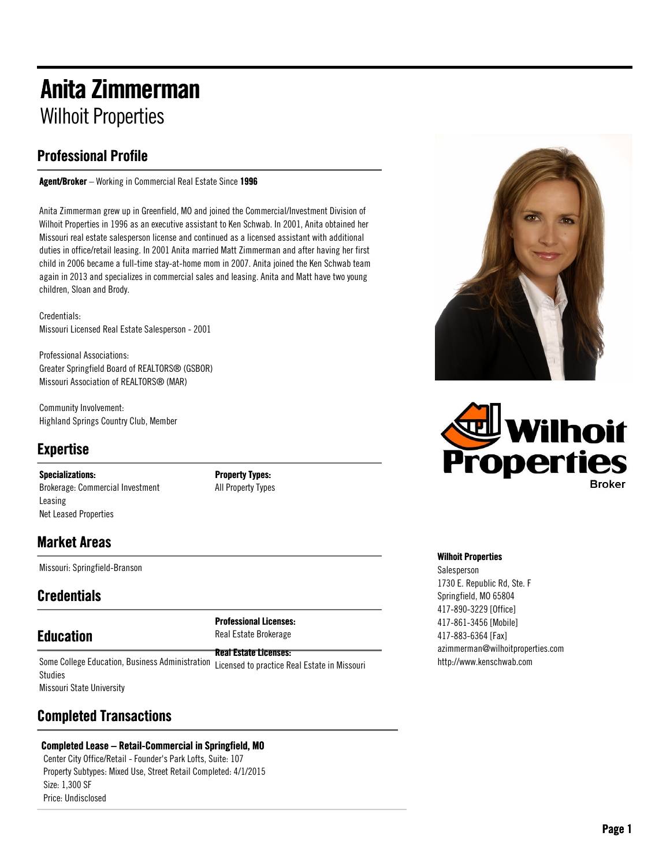# Anita Zimmerman Wilhoit Properties

## Professional Profile

Agent/Broker – Working in Commercial Real Estate Since 1996

Anita Zimmerman grew up in Greenfield, MO and joined the Commercial/Investment Division of Wilhoit Properties in 1996 as an executive assistant to Ken Schwab. In 2001, Anita obtained her Missouri real estate salesperson license and continued as a licensed assistant with additional duties in office/retail leasing. In 2001 Anita married Matt Zimmerman and after having her first child in 2006 became a full-time stay-at-home mom in 2007. Anita joined the Ken Schwab team again in 2013 and specializes in commercial sales and leasing. Anita and Matt have two young children, Sloan and Brody.

Credentials: Missouri Licensed Real Estate Salesperson - 2001

Professional Associations: Greater Springfield Board of REALTORS® (GSBOR) Missouri Association of REALTORS® (MAR)

Community Involvement: Highland Springs Country Club, Member

## Expertise

Specializations: Brokerage: Commercial Investment Leasing Net Leased Properties

Property Types: All Property Types

### Market Areas

Missouri: Springfield-Branson

## **Credentials**

## **Education**

Professional Licenses: Real Estate Brokerage

Real Estate Licenses: Some College Education, Business Administration Licensed to practice Real Estate in Missouri Studies Missouri State University

### Completed Transactions

### Completed Lease – Retail-Commercial in Springfield, MO

Center City Office/Retail - Founder's Park Lofts, Suite: 107 Property Subtypes: Mixed Use, Street Retail Completed: 4/1/2015 Size: 1,300 SF Price: Undisclosed





#### Wilhoit Properties

Salesperson 1730 E. Republic Rd, Ste. F Springfield, MO 65804 417-890-3229 [Office] 417-861-3456 [Mobile] 417-883-6364 [Fax] azimmerman@wilhoitproperties.com http://www.kenschwab.com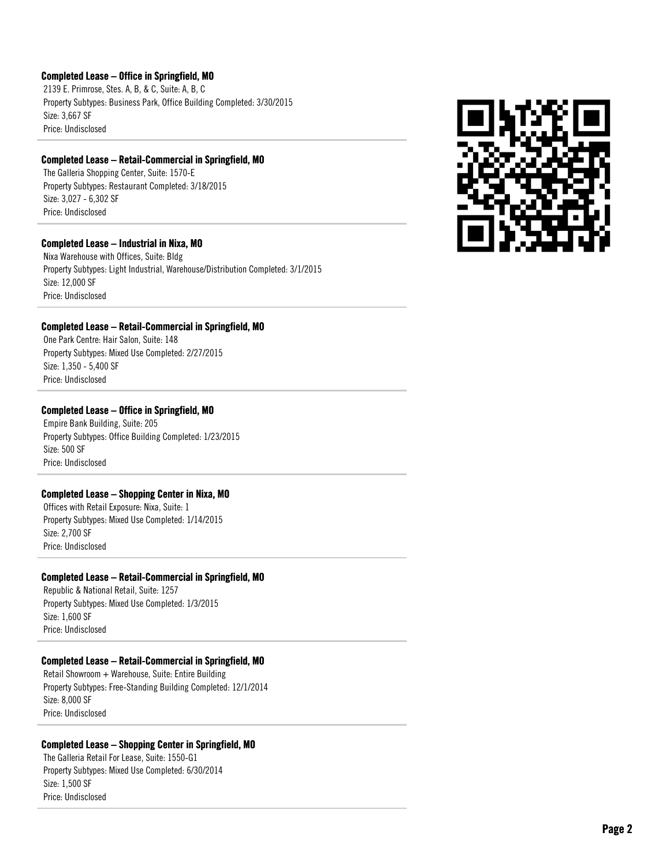#### Completed Lease – Office in Springfield, MO

2139 E. Primrose, Stes. A, B, & C, Suite: A, B, C Property Subtypes: Business Park, Office Building Completed: 3/30/2015 Size: 3,667 SF Price: Undisclosed

#### Completed Lease – Retail-Commercial in Springfield, MO

The Galleria Shopping Center, Suite: 1570-E Property Subtypes: Restaurant Completed: 3/18/2015 Size: 3,027 - 6,302 SF Price: Undisclosed

#### Completed Lease – Industrial in Nixa, MO

Nixa Warehouse with Offices, Suite: Bldg Property Subtypes: Light Industrial, Warehouse/Distribution Completed: 3/1/2015 Size: 12,000 SF Price: Undisclosed

#### Completed Lease – Retail-Commercial in Springfield, MO

One Park Centre: Hair Salon, Suite: 148 Property Subtypes: Mixed Use Completed: 2/27/2015 Size: 1,350 - 5,400 SF Price: Undisclosed

#### Completed Lease – Office in Springfield, MO

Empire Bank Building, Suite: 205 Property Subtypes: Office Building Completed: 1/23/2015 Size: 500 SF Price: Undisclosed

#### Completed Lease – Shopping Center in Nixa, MO

Offices with Retail Exposure: Nixa, Suite: 1 Property Subtypes: Mixed Use Completed: 1/14/2015 Size: 2,700 SF Price: Undisclosed

#### Completed Lease – Retail-Commercial in Springfield, MO

Republic & National Retail, Suite: 1257 Property Subtypes: Mixed Use Completed: 1/3/2015 Size: 1,600 SF Price: Undisclosed

#### Completed Lease – Retail-Commercial in Springfield, MO

Retail Showroom + Warehouse, Suite: Entire Building Property Subtypes: Free-Standing Building Completed: 12/1/2014 Size: 8,000 SF Price: Undisclosed

#### Completed Lease – Shopping Center in Springfield, MO

The Galleria Retail For Lease, Suite: 1550-G1 Property Subtypes: Mixed Use Completed: 6/30/2014 Size: 1,500 SF Price: Undisclosed